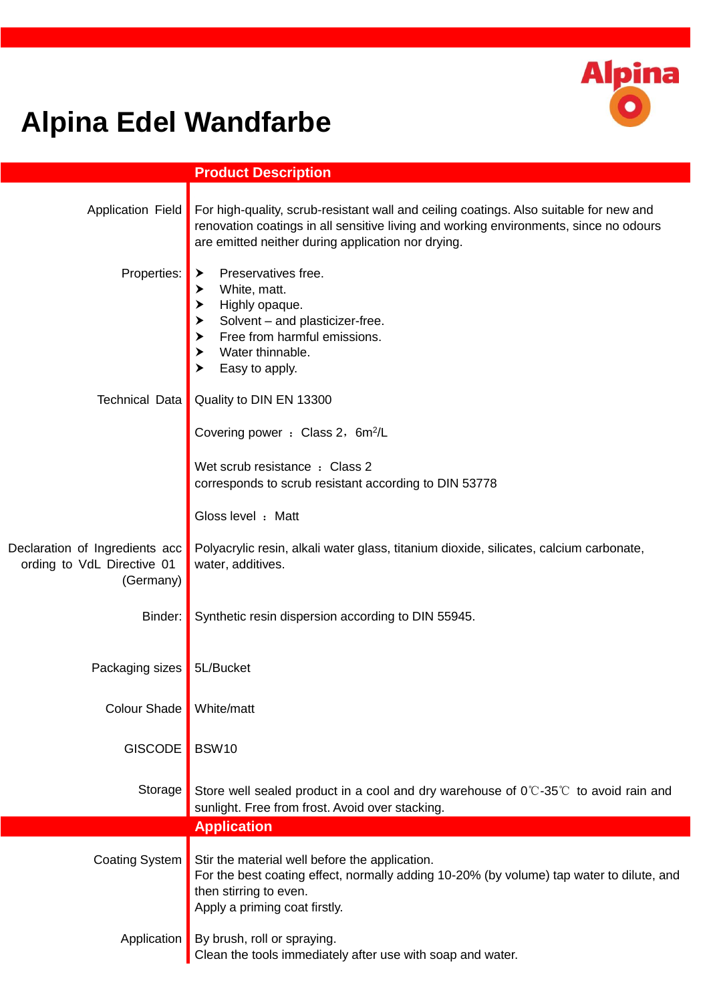

## **Alpina Edel Wandfarbe**

|                                                                           | <b>Product Description</b>                                                                                                                                                                                                            |
|---------------------------------------------------------------------------|---------------------------------------------------------------------------------------------------------------------------------------------------------------------------------------------------------------------------------------|
| Application Field                                                         | For high-quality, scrub-resistant wall and ceiling coatings. Also suitable for new and<br>renovation coatings in all sensitive living and working environments, since no odours<br>are emitted neither during application nor drying. |
| Properties:                                                               | Preservatives free.<br>➤<br>White, matt.<br>➤<br>Highly opaque.<br>$\blacktriangleright$<br>Solvent - and plasticizer-free.<br>$\blacktriangleright$ Free from harmful emissions.<br>Water thinnable.<br>Easy to apply.               |
| Technical Data                                                            | Quality to DIN EN 13300                                                                                                                                                                                                               |
|                                                                           | Covering power : Class 2, 6m <sup>2</sup> /L                                                                                                                                                                                          |
|                                                                           | Wet scrub resistance : Class 2<br>corresponds to scrub resistant according to DIN 53778                                                                                                                                               |
|                                                                           | Gloss level : Matt                                                                                                                                                                                                                    |
| Declaration of Ingredients acc<br>ording to VdL Directive 01<br>(Germany) | Polyacrylic resin, alkali water glass, titanium dioxide, silicates, calcium carbonate,<br>water, additives.                                                                                                                           |
| Binder:                                                                   | Synthetic resin dispersion according to DIN 55945.                                                                                                                                                                                    |
| Packaging sizes                                                           | 5L/Bucket                                                                                                                                                                                                                             |
| <b>Colour Shade</b>                                                       | White/matt                                                                                                                                                                                                                            |
| <b>GISCODE</b>                                                            | <b>BSW10</b>                                                                                                                                                                                                                          |
| Storage                                                                   | Store well sealed product in a cool and dry warehouse of $0^{\circ}$ -35°C to avoid rain and<br>sunlight. Free from frost. Avoid over stacking.                                                                                       |
|                                                                           | <b>Application</b>                                                                                                                                                                                                                    |
| <b>Coating System</b>                                                     | Stir the material well before the application.<br>For the best coating effect, normally adding 10-20% (by volume) tap water to dilute, and<br>then stirring to even.<br>Apply a priming coat firstly.                                 |
| Application                                                               | By brush, roll or spraying.<br>Clean the tools immediately after use with soap and water.                                                                                                                                             |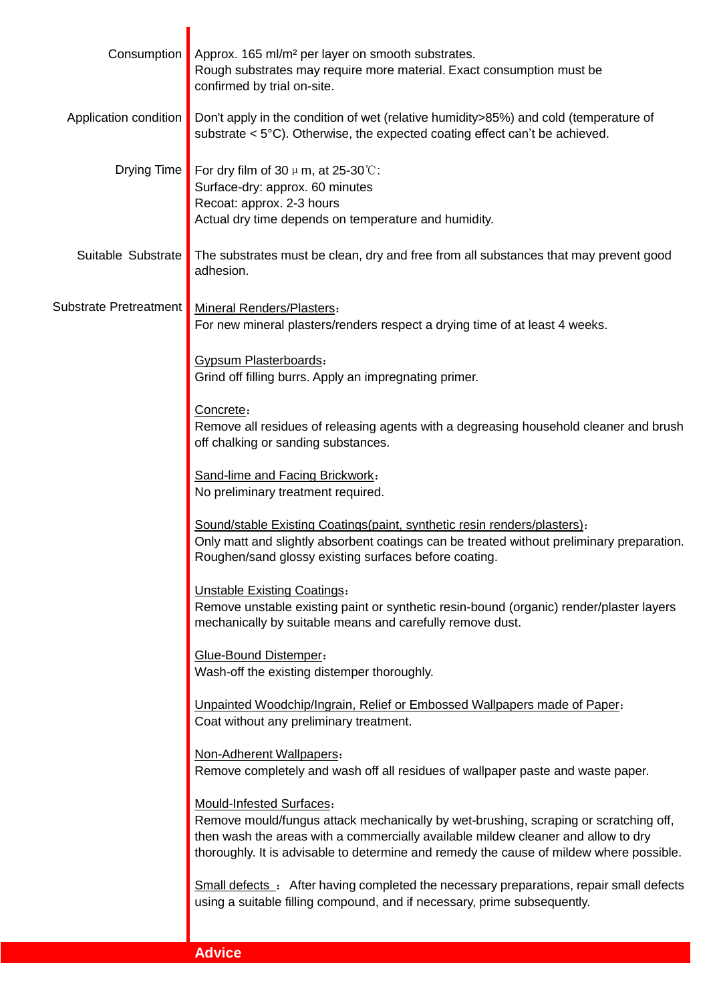| Consumption                   | Approx. 165 ml/m <sup>2</sup> per layer on smooth substrates.<br>Rough substrates may require more material. Exact consumption must be<br>confirmed by trial on-site.                                                                                                                            |
|-------------------------------|--------------------------------------------------------------------------------------------------------------------------------------------------------------------------------------------------------------------------------------------------------------------------------------------------|
| Application condition         | Don't apply in the condition of wet (relative humidity>85%) and cold (temperature of<br>substrate $<$ 5 $^{\circ}$ C). Otherwise, the expected coating effect can't be achieved.                                                                                                                 |
| Drying Time                   | For dry film of 30 $\mu$ m, at 25-30 °C:<br>Surface-dry: approx. 60 minutes<br>Recoat: approx. 2-3 hours<br>Actual dry time depends on temperature and humidity.                                                                                                                                 |
| Suitable Substrate            | The substrates must be clean, dry and free from all substances that may prevent good<br>adhesion.                                                                                                                                                                                                |
| <b>Substrate Pretreatment</b> | <b>Mineral Renders/Plasters:</b><br>For new mineral plasters/renders respect a drying time of at least 4 weeks.                                                                                                                                                                                  |
|                               | Gypsum Plasterboards:<br>Grind off filling burrs. Apply an impregnating primer.                                                                                                                                                                                                                  |
|                               | Concrete:<br>Remove all residues of releasing agents with a degreasing household cleaner and brush<br>off chalking or sanding substances.                                                                                                                                                        |
|                               | Sand-lime and Facing Brickwork:<br>No preliminary treatment required.                                                                                                                                                                                                                            |
|                               | Sound/stable Existing Coatings(paint, synthetic resin renders/plasters):<br>Only matt and slightly absorbent coatings can be treated without preliminary preparation.<br>Roughen/sand glossy existing surfaces before coating.                                                                   |
|                               | <b>Unstable Existing Coatings:</b><br>Remove unstable existing paint or synthetic resin-bound (organic) render/plaster layers<br>mechanically by suitable means and carefully remove dust.                                                                                                       |
|                               | Glue-Bound Distemper:<br>Wash-off the existing distemper thoroughly.                                                                                                                                                                                                                             |
|                               | Unpainted Woodchip/Ingrain, Relief or Embossed Wallpapers made of Paper:<br>Coat without any preliminary treatment.                                                                                                                                                                              |
|                               | Non-Adherent Wallpapers:<br>Remove completely and wash off all residues of wallpaper paste and waste paper.                                                                                                                                                                                      |
|                               | Mould-Infested Surfaces:<br>Remove mould/fungus attack mechanically by wet-brushing, scraping or scratching off,<br>then wash the areas with a commercially available mildew cleaner and allow to dry<br>thoroughly. It is advisable to determine and remedy the cause of mildew where possible. |
|                               | Small defects : After having completed the necessary preparations, repair small defects<br>using a suitable filling compound, and if necessary, prime subsequently.                                                                                                                              |
|                               | <b>Advice</b>                                                                                                                                                                                                                                                                                    |